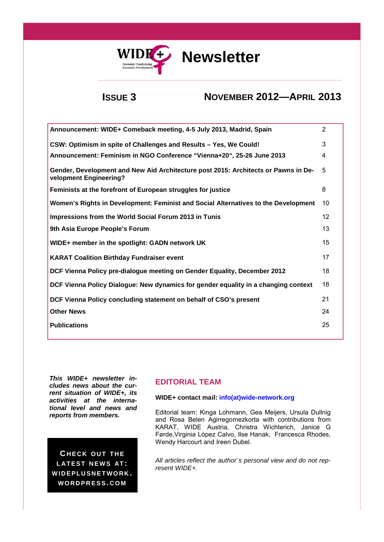

# WIDE<sup>+</sup> Newsletter

## **ISSUE 3 NOVEMBER 2012—APRIL 2013**

| Announcement: WIDE+ Comeback meeting, 4-5 July 2013, Madrid, Spain                                           | $\overline{2}$ |
|--------------------------------------------------------------------------------------------------------------|----------------|
| CSW: Optimism in spite of Challenges and Results - Yes, We Could!                                            | 3              |
| Announcement: Feminism in NGO Conference "Vienna+20", 25-26 June 2013                                        | 4              |
| Gender, Development and New Aid Architecture post 2015: Architects or Pawns in De-<br>velopment Engineering? | 5              |
| Feminists at the forefront of European struggles for justice                                                 | 8              |
| Women's Rights in Development: Feminist and Social Alternatives to the Development                           | 10             |
| Impressions from the World Social Forum 2013 in Tunis                                                        | 12             |
| 9th Asia Europe People's Forum                                                                               | 13             |
| WIDE+ member in the spotlight: GADN network UK                                                               | 15             |
| <b>KARAT Coalition Birthday Fundraiser event</b>                                                             | 17             |
| DCF Vienna Policy pre-dialogue meeting on Gender Equality, December 2012                                     | 18             |
| DCF Vienna Policy Dialogue: New dynamics for gender equality in a changing context                           | 18             |
| DCF Vienna Policy concluding statement on behalf of CSO's present                                            | 21             |
| <b>Other News</b>                                                                                            | 24             |
| <b>Publications</b>                                                                                          | 25             |
|                                                                                                              |                |

*This WIDE+ newsletter includes news about the current situation of WIDE+, its activities at the international level and news and reports from members.* 

**CHECK OUT THE LATEST NEWS AT: W ID E PLU SN E T WO R K . W OR D PR E S S. C OM**

## **EDITORIAL TEAM**

## **WIDE+ contact mail: info(at)wide-network.org**

Editorial team: Kinga Lohmann, Gea Meijers, Ursula Dullnig and Rosa Belen Agirregomezkorta with contributions from KARAT, WIDE Austria, Christra Wichterich, Janice G Førde,Virginia López Calvo, Ilse Hanak, Francesca Rhodes, Wendy Harcourt and Ireen Dubel.

*All articles reflect the author`s personal view and do not represent WIDE+.*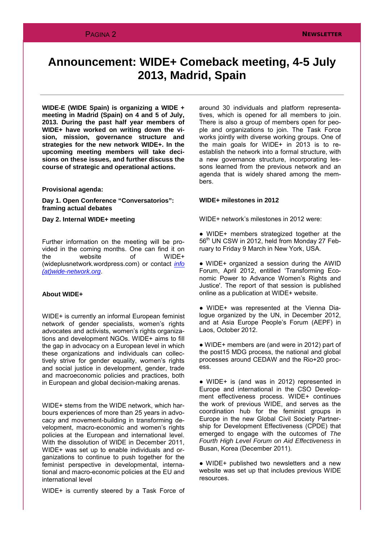## **Announcement: WIDE+ Comeback meeting, 4-5 July 2013, Madrid, Spain**

**WIDE-E (WIDE Spain) is organizing a WIDE + meeting in Madrid (Spain) on 4 and 5 of July, 2013. During the past half year members of WIDE+ have worked on writing down the vision, mission, governance structure and strategies for the new network WIDE+. In the upcoming meeting members will take decisions on these issues, and further discuss the course of strategic and operational actions.**

#### **Provisional agenda:**

**Day 1. Open Conference "Conversatorios": framing actual debates**

**Day 2. Internal WIDE+ meeting**

Further information on the meeting will be provided in the coming months. One can find it on<br>the website of WIDE+ the website of (wideplusnetwork.wordpress.com) or contact *info (at)wide-network.org*.

## **About WIDE+**

WIDE+ is currently an informal European feminist network of gender specialists, women's rights advocates and activists, women's rights organizations and development NGOs. WIDE+ aims to fill the gap in advocacy on a European level in which these organizations and individuals can collectively strive for gender equality, women's rights and social justice in development, gender, trade and macroeconomic policies and practices, both in European and global decision-making arenas.

WIDE+ stems from the WIDE network, which harbours experiences of more than 25 years in advocacy and movement-building in transforming development, macro-economic and women's rights policies at the European and international level. With the dissolution of WIDE in December 2011, WIDE+ was set up to enable individuals and organizations to continue to push together for the feminist perspective in developmental, international and macro-economic policies at the EU and international level

WIDE+ is currently steered by a Task Force of

around 30 individuals and platform representatives, which is opened for all members to join. There is also a group of members open for people and organizations to join. The Task Force works jointly with diverse working groups. One of the main goals for WIDE+ in 2013 is to reestablish the network into a formal structure, with a new governance structure, incorporating lessons learned from the previous network and an agenda that is widely shared among the members.

#### **WIDE+ milestones in 2012**

WIDE+ network's milestones in 2012 were:

● WIDE+ members strategized together at the 56<sup>th</sup> UN CSW in 2012, held from Monday 27 February to Friday 9 March in New York, USA.

● WIDE+ organized a session during the AWID Forum, April 2012, entitled 'Transforming Economic Power to Advance Women's Rights and Justice'. The report of that session is published online as a publication at WIDE+ website.

● WIDE+ was represented at the Vienna Dialogue organized by the UN, in December 2012, and at Asia Europe People's Forum (AEPF) in Laos, October 2012.

● WIDE+ members are (and were in 2012) part of the post15 MDG process, the national and global processes around CEDAW and the Rio+20 process.

● WIDE+ is (and was in 2012) represented in Europe and international in the CSO Development effectiveness process. WIDE+ continues the work of previous WIDE, and serves as the coordination hub for the feminist groups in Europe in the new Global Civil Society Partnership for Development Effectiveness (CPDE) that emerged to engage with the outcomes of *The Fourth High Level Forum on Aid Effectiveness* in Busan, Korea (December 2011).

● WIDE+ published two newsletters and a new website was set up that includes previous WIDE resources.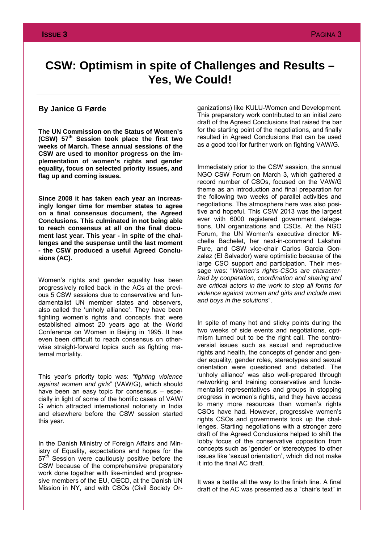## **CSW: Optimism in spite of Challenges and Results – Yes, We Could!**

## **By Janice G Førde**

**The UN Commission on the Status of Women's (CSW) 57th Session took place the first two weeks of March. These annual sessions of the CSW are used to monitor progress on the implementation of women's rights and gender equality, focus on selected priority issues, and flag up and coming issues.** 

**Since 2008 it has taken each year an increasingly longer time for member states to agree on a final consensus document, the Agreed Conclusions. This culminated in not being able to reach consensus at all on the final document last year. This year - in spite of the challenges and the suspense until the last moment - the CSW produced a useful Agreed Conclusions (AC).**

Women's rights and gender equality has been progressively rolled back in the ACs at the previous 5 CSW sessions due to conservative and fundamentalist UN member states and observers, also called the 'unholy alliance'. They have been fighting women's rights and concepts that were established almost 20 years ago at the World Conference on Women in Beijing in 1995. It has even been difficult to reach consensus on otherwise straight-forward topics such as fighting maternal mortality.

This year's priority topic was: *"fighting violence against women and girls*" (VAW/G), which should have been an easy topic for consensus – especially in light of some of the horrific cases of VAW/ G which attracted international notoriety in India and elsewhere before the CSW session started this year.

In the Danish Ministry of Foreign Affairs and Ministry of Equality, expectations and hopes for the 57<sup>th</sup> Session were cautiously positive before the CSW because of the comprehensive preparatory work done together with like-minded and progressive members of the EU, OECD, at the Danish UN Mission in NY, and with CSOs (Civil Society Organizations) like KULU-Women and Development. This preparatory work contributed to an initial zero draft of the Agreed Conclusions that raised the bar for the starting point of the negotiations, and finally resulted in Agreed Conclusions that can be used as a good tool for further work on fighting VAW/G.

Immediately prior to the CSW session, the annual NGO CSW Forum on March 3, which gathered a record number of CSOs, focused on the VAW/G theme as an introduction and final preparation for the following two weeks of parallel activities and negotiations. The atmosphere here was also positive and hopeful. This CSW 2013 was the largest ever with 6000 registered government delegations, UN organizations and CSOs. At the NGO Forum, the UN Women's executive director Michelle Bachelet, her next-in-command Lakshmi Pure, and CSW vice-chair Carlos Garcia Gonzalez (El Salvador) were optimistic because of the large CSO support and participation. Their message was: "*Women's rights-CSOs are characterized by cooperation, coordination and sharing and are critical actors in the work to stop all forms for violence against women and girls and include men and boys in the solutions*".

In spite of many hot and sticky points during the two weeks of side events and negotiations, optimism turned out to be the right call. The controversial issues such as sexual and reproductive rights and health, the concepts of gender and gender equality, gender roles, stereotypes and sexual orientation were questioned and debated. The 'unholy alliance' was also well-prepared through networking and training conservative and fundamentalist representatives and groups in stopping progress in women's rights, and they have access to many more resources than women's rights CSOs have had. However, progressive women's rights CSOs and governments took up the challenges. Starting negotiations with a stronger zero draft of the Agreed Conclusions helped to shift the lobby focus of the conservative opposition from concepts such as 'gender' or 'stereotypes' to other issues like 'sexual orientation', which did not make it into the final AC draft.

It was a battle all the way to the finish line. A final draft of the AC was presented as a "chair's text" in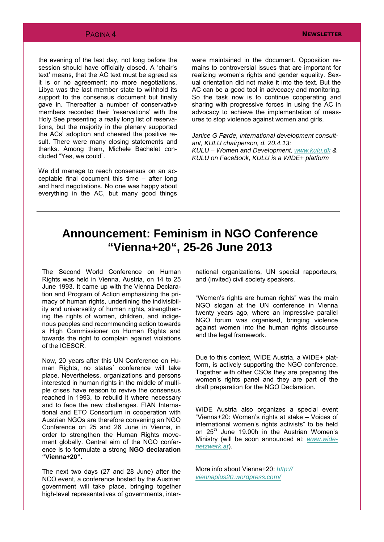the evening of the last day, not long before the session should have officially closed. A 'chair's text' means, that the AC text must be agreed as it is or no agreement; no more negotiations. Libya was the last member state to withhold its support to the consensus document but finally gave in. Thereafter a number of conservative members recorded their 'reservations' with the Holy See presenting a really long list of reservations, but the majority in the plenary supported the ACs' adoption and cheered the positive result. There were many closing statements and thanks. Among them, Michele Bachelet concluded "Yes, we could".

We did manage to reach consensus on an acceptable final document this time – after long and hard negotiations. No one was happy about everything in the AC, but many good things

were maintained in the document. Opposition remains to controversial issues that are important for realizing women's rights and gender equality. Sexual orientation did not make it into the text. But the AC can be a good tool in advocacy and monitoring. So the task now is to continue cooperating and sharing with progressive forces in using the AC in advocacy to achieve the implementation of measures to stop violence against women and girls.

*Janice G Førde, international development consultant, KULU chairperson, d. 20.4.13; KULU – Women and Development, [www.kulu.dk](http://www.kulu.dk) & KULU on FaceBook, KULU is a WIDE+ platform*

## **Announcement: Feminism in NGO Conference "Vienna+20", 25-26 June 2013**

The Second World Conference on Human Rights was held in Vienna, Austria, on 14 to 25 June 1993. It came up with the Vienna Declaration and Program of Action emphasizing the primacy of human rights, underlining the indivisibility and universality of human rights, strengthening the rights of women, children, and indigenous peoples and recommending action towards a High Commissioner on Human Rights and towards the right to complain against violations of the ICESCR.

Now, 20 years after this UN Conference on Human Rights, no states´ conference will take place. Nevertheless, organizations and persons interested in human rights in the middle of multiple crises have reason to revive the consensus reached in 1993, to rebuild it where necessary and to face the new challenges. FIAN International and ETO Consortium in cooperation with Austrian NGOs are therefore convening an NGO Conference on 25 and 26 June in Vienna, in order to strengthen the Human Rights movement globally. Central aim of the NGO conference is to formulate a strong **NGO declaration "Vienna+20".**

The next two days (27 and 28 June) after the NCO event, a conference hosted by the Austrian government will take place, bringing together high-level representatives of governments, international organizations, UN special rapporteurs, and (invited) civil society speakers.

"Women's rights are human rights" was the main NGO slogan at the UN conference in Vienna twenty years ago, where an impressive parallel NGO forum was organised, bringing violence against women into the human rights discourse and the legal framework.

Due to this context, WIDE Austria, a WIDE+ platform, is actively supporting the NGO conference. Together with other CSOs they are preparing the women's rights panel and they are part of the draft preparation for the NGO Declaration.

WIDE Austria also organizes a special event "Vienna+20: Women's rights at stake – Voices of international women's rights activists" to be held on  $25<sup>th</sup>$  June 19.00h in the Austrian Women's Ministry (will be soon announced at: *[www.wide](http://www.wide-netzwerk.at/)[netzwerk.at](http://www.wide-netzwerk.at/)*).

More info about Vienna+20: *[http://](http://viennaplus20.wordpress.com/) [viennaplus20.wordpress.com/](http://viennaplus20.wordpress.com/)*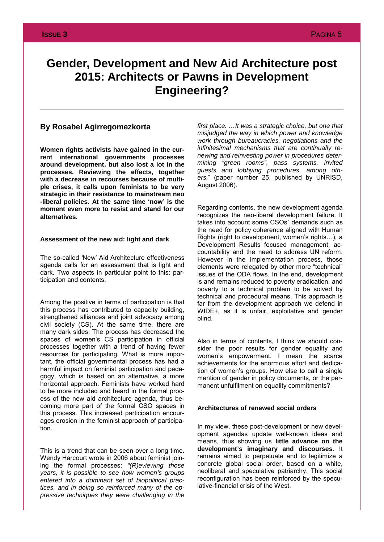## **Gender, Development and New Aid Architecture post 2015: Architects or Pawns in Development Engineering?**

## **By Rosabel Agirregomezkorta**

**Women rights activists have gained in the current international governments processes around development, but also lost a lot in the processes. Reviewing the effects, together with a decrease in recourses because of multiple crises, it calls upon feminists to be very strategic in their resistance to mainstream neo -liberal policies. At the same time 'now' is the moment even more to resist and stand for our alternatives.**

### **Assessment of the new aid: light and dark**

The so-called *'*New' Aid Architecture effectiveness agenda calls for an assessment that is light and dark. Two aspects in particular point to this: participation and contents.

Among the positive in terms of participation is that this process has contributed to capacity building, strengthened alliances and joint advocacy among civil society (CS). At the same time, there are many dark sides. The process has decreased the spaces of women's CS participation in official processes together with a trend of having fewer resources for participating. What is more important, the official governmental process has had a harmful impact on feminist participation and pedagogy, which is based on an alternative, a more horizontal approach. Feminists have worked hard to be more included and heard in the formal process of the new aid architecture agenda, thus becoming more part of the formal CSO spaces in this process. This increased participation encourages erosion in the feminist approach of participation.

This is a trend that can be seen over a long time. Wendy Harcourt wrote in 2006 about feminist joining the formal processes: *"(R)eviewing those years, it is possible to see how women's groups entered into a dominant set of biopolitical practices, and in doing so reinforced many of the oppressive techniques they were challenging in the*  *first place. …It was a strategic choice, but one that misjudged the way in which power and knowledge work through bureaucracies, negotiations and the infinitesimal mechanisms that are continually renewing and reinvesting power in procedures determining "green rooms", pass systems, invited guests and lobbying procedures, among others.*" (paper number 25, published by UNRISD, August 2006).

Regarding contents, the new development agenda recognizes the neo-liberal development failure. It takes into account some CSOs´ demands such as the need for policy coherence aligned with Human Rights (right to development, women's rights…), a Development Results focused management, accountability and the need to address UN reform. However in the implementation process, those elements were relegated by other more "technical" issues of the ODA flows. In the end, development is and remains reduced to poverty eradication, and poverty to a technical problem to be solved by technical and procedural means. This approach is far from the development approach we defend in WIDE+, as it is unfair, exploitative and gender blind.

Also in terms of contents, I think we should consider the poor results for gender equality and women's empowerment. I mean the scarce achievements for the enormous effort and dedication of women's groups. How else to call a single mention of gender in policy documents, or the permanent unfulfilment on equality commitments?

### **Architectures of renewed social orders**

In my view, these post-development or new development agendas update well-known ideas and means, thus showing us **little advance on the development's imaginary and discourses**. It remains aimed to perpetuate and to legitimize a concrete global social order, based on a white, neoliberal and speculative patriarchy. This social reconfiguration has been reinforced by the speculative-financial crisis of the West.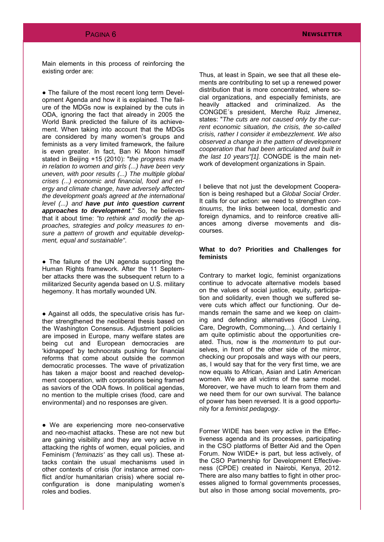Main elements in this process of reinforcing the existing order are:

● The failure of the most recent long term Development Agenda and how it is explained. The failure of the MDGs now is explained by the cuts in ODA, ignoring the fact that already in 2005 the World Bank predicted the failure of its achievement. When taking into account that the MDGs are considered by many women's groups and feminists as a very limited framework, the failure is even greater. In fact, Ban Ki Moon himself stated in Beijing +15 (2010): "*the progress made in relation to women and girls (...) have been very uneven, with poor results (...) The multiple global crises (...) economic and financial, food and energy and climate change, have adversely affected the development goals agreed at the international level (...) and have put into question current approaches to development.*" So, he believes that it about time: *"to rethink and modify the approaches, strategies and policy measures to ensure a pattern of growth and equitable development, equal and sustainable"*.

• The failure of the UN agenda supporting the Human Rights framework. After the 11 September attacks there was the subsequent return to a militarized Security agenda based on U.S. military hegemony. It has mortally wounded UN.

• Against all odds, the speculative crisis has further strengthened the neoliberal thesis based on the Washington Consensus. Adjustment policies are imposed in Europe, many welfare states are being cut and European democracies are 'kidnapped' by technocrats pushing for financial reforms that come about outside the common democratic processes. The wave of privatization has taken a major boost and reached development cooperation, with corporations being framed as saviors of the ODA flows. In political agendas, no mention to the multiple crises (food, care and environmental) and no responses are given.

● We are experiencing more neo-conservative and neo-machist attacks. These are not new but are gaining visibility and they are very active in attacking the rights of women, equal policies, and Feminism ('*feminazis'* as they call us). These attacks contain the usual mechanisms used in other contexts of crisis (for instance armed conflict and/or humanitarian crisis) where social reconfiguration is done manipulating women's roles and bodies.

Thus, at least in Spain, we see that all these elements are contributing to set up a renewed power distribution that is more concentrated, where social organizations, and especially feminists, are heavily attacked and criminalized. As the CONGDE´s president, Merche Ruiz Jimenez, states: "*The cuts are not caused only by the current economic situation, the crisis, the so-called crisis, rather I consider it embezzlement. We also observed a change in the pattern of development cooperation that had been articulated and built in the last 10 years"[1].* CONGDE is the main network of development organizations in Spain.

I believe that not just the development Cooperation is being reshaped but a *Global Social Order*. It calls for our action: we need to strengthen *continuums*, the links between local, domestic and foreign dynamics, and to reinforce creative alliances among diverse movements and discourses.

## **What to do? Priorities and Challenges for feminists**

Contrary to market logic, feminist organizations continue to advocate alternative models based on the values of social justice, equity, participation and solidarity, even though we suffered severe cuts which affect our functioning. Our demands remain the same and we keep on claiming and defending alternatives (Good Living, Care, Degrowth, Commoning,...). And certainly I am quite optimistic about the opportunities created. Thus, now is the *momentum* to put ourselves, in front of the other side of the mirror, checking our proposals and ways with our peers, as, I would say that for the very first time, we are now equals to African, Asian and Latin American women. We are all victims of the same model. Moreover, we have much to learn from them and we need them for our own survival. The balance of power has been reversed. It is a good opportunity for a *feminist pedagogy*.

Former WIDE has been very active in the Effectiveness agenda and its processes, participating in the CSO platforms of Better Aid and the Open Forum. Now WIDE+ is part, but less actively, of the CSO Partnership for Development Effectiveness (CPDE) created in Nairobi, Kenya, 2012. There are also many battles to fight in other processes aligned to formal governments processes, but also in those among social movements, pro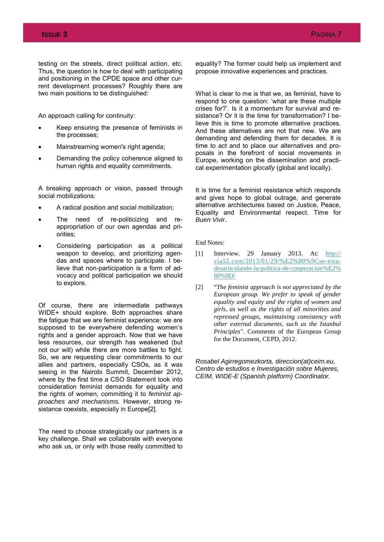testing on the streets, direct political action, etc. Thus, the question is how to deal with participating and positioning in the CPDE space and other current development processes? Roughly there are two main positions to be distinguished:

An approach calling for continuity:

- Keep ensuring the presence of feminists in the processes;
- ∑ Mainstreaming women's right agenda;
- ∑ Demanding the policy coherence aligned to human rights and equality commitments.

A breaking approach or vision, passed through social mobilizations:

- ∑ A radical position and social mobilization;
- The need of re-politicizing and reappropriation of our own agendas and priorities;
- ∑ Considering participation as a political weapon to develop, and prioritizing agendas and spaces where to participate. I believe that non-participation is a form of advocacy and political participation we should to explore.

Of course, there are intermediate pathways WIDE+ should explore. Both approaches share the fatigue that we are feminist experience: we are supposed to be everywhere defending women's rights and a gender approach. Now that we have less resources, our strength has weakened (but not our will) while there are more battles to fight. So, we are requesting clear commitments to our allies and partners, especially CSOs, as it was seeing in the Nairobi Summit, December 2012, where by the first time a CSO Statement took into consideration feminist demands for equality and the rights of women, committing it to *feminist approaches and mechanisms.* However, strong resistance coexists, especially in Europe[2].

The need to choose strategically our partners is a key challenge. Shall we collaborate with everyone who ask us, or only with those really committed to

equality? The former could help us implement and propose innovative experiences and practices.

What is clear to me is that we, as feminist, have to respond to one question: 'what are these multiple crises for?'. Is it a momentum for survival and resistance? Or it is the time for transformation? I believe this is time to promote alternative practices. And these alternatives are not that new. We are demanding and defending them for decades. It is time to act and to place our alternatives and proposals in the forefront of social movements in Europe, working on the dissemination and practical experimentation *glocally* (global and locally).

It is time for a feminist resistance which responds and gives hope to global outrage, and generate alternative architectures based on Justice, Peace, Equality and Environmental respect. Time for *Buen Vivir*.

End Notes:

- [1] Interview. 29 January 2013. At:  $\frac{http://}{http://}$  $\frac{http://}{http://}$  $\frac{http://}{http://}$ [via52.com/2013/01/29/%E2%80%9Cse-esta](http://via52.com/2013/01/29/%E2%80%9Cse-esta-desarticulando-la-politica-de-cooperacion%E2%80%9D/)[desarticulando-la-politica-de-cooperacion%E2%](http://via52.com/2013/01/29/%E2%80%9Cse-esta-desarticulando-la-politica-de-cooperacion%E2%80%9D/) [80%9D/](http://via52.com/2013/01/29/%E2%80%9Cse-esta-desarticulando-la-politica-de-cooperacion%E2%80%9D/)
- [2] "*The feminist approach is not appreciated by the European group. We prefer to speak of gender equality and equity and the rights of women and girls, as well as the rights of all minorities and repressed groups, maintaining consistency with other external documents, such as the Istanbul Principles".* Comments of the European Group for the Document, CEPD, 2012.

*Rosabel Agirregomezkorta, direccion(at)ceim.eu, Centro de estudios e Investigación sobre Mujeres, CEIM, WIDE-E (Spanish platform) Coordinator.*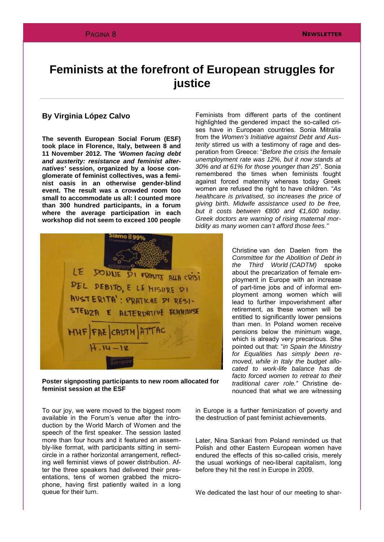## **Feminists at the forefront of European struggles for justice**

## **By Virginia López Calvo**

**The seventh European Social Forum (ESF) took place in Florence, Italy, between 8 and 11 November 2012. The** *'Women facing debt and austerity: resistance and feminist alternatives'* **session, organized by a loose conglomerate of feminist collectives, was a feminist oasis in an otherwise gender-blind event. The result was a crowded room too small to accommodate us all: I counted more than 300 hundred participants, in a forum where the average participation in each workshop did not seem to exceed 100 people**

Feminists from different parts of the continent highlighted the gendered impact the so-called crises have in European countries. Sonia Mitralia from the *Women's Initiative against Debt and Austerity* stirred us with a testimony of rage and desperation from Greece: "*Before the crisis the female unemployment rate was 12%, but it now stands at 30% and at 61% for those younger than 25*". Sonia remembered the times when feminists fought against forced maternity whereas today Greek women are refused the right to have children. "*As healthcare is privatised, so increases the price of giving birth. Midwife assistance used to be free, but it costs between €800 and €1,600 today. Greek doctors are warning of rising maternal morbidity as many women can't afford those fees."*



**Poster signposting participants to new room allocated for feminist session at the ESF**

To our joy, we were moved to the biggest room available in the Forum's venue after the introduction by the World March of Women and the speech of the first speaker. The session lasted more than four hours and it featured an assembly-like format, with participants sitting in semicircle in a rather horizontal arrangement, reflecting well feminist views of power distribution. After the three speakers had delivered their presentations, tens of women grabbed the microphone, having first patiently waited in a long queue for their turn.

Christine van den Daelen from the *Committee for the Abolition of Debt in Third World (CADTM)* spoke about the precarization of female employment in Europe with an increase of part-time jobs and of informal employment among women which will lead to further impoverishment after retirement, as these women will be entitled to significantly lower pensions than men. In Poland women receive pensions below the minimum wage, which is already very precarious. She pointed out that: "*in Spain the Ministry for Equalities has simply been removed, while in Italy the budget allocated to work-life balance has de facto forced women to retreat to their traditional carer role."* Christine denounced that what we are witnessing

in Europe is a further feminization of poverty and the destruction of past feminist achievements.

Later, Nina Sankari from Poland reminded us that Polish and other Eastern European women have endured the effects of this so-called crisis, merely the usual workings of neo-liberal capitalism, long before they hit the rest in Europe in 2009.

We dedicated the last hour of our meeting to shar-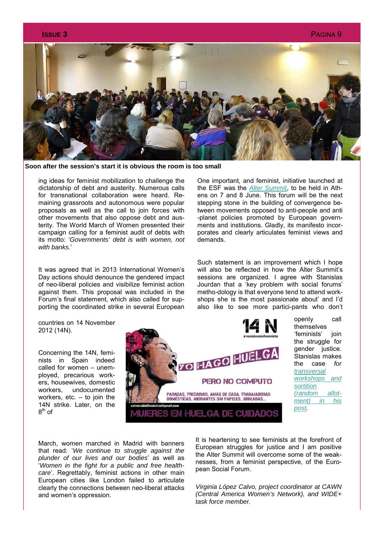

**Soon after the session's start it is obvious the room is too small**

ing ideas for feminist mobilization to challenge the dictatorship of debt and austerity. Numerous calls for transnational collaboration were heard. Remaining grassroots and autonomous were popular proposals as well as the call to join forces with other movements that also oppose debt and austerity. The World March of Women presented their campaign calling for a feminist audit of debts with its motto: '*Governments' debt is with women, not with banks.*'

It was agreed that in 2013 International Women's Day actions should denounce the gendered impact of neo-liberal policies and visibilize feminist action against them. This proposal was included in the Forum's final statement, which also called for supporting the coordinated strike in several European

One important, and feminist, initiative launched at the ESF was the *[Alter Summit](http://www.altersummit.eu/)*, to be held in Athens on 7 and 8 June. This forum will be the next stepping stone in the building of convergence between movements opposed to anti-people and anti -planet policies promoted by European governments and institutions. Gladly, its manifesto incorporates and clearly articulates feminist views and demands.

Such statement is an improvement which I hope will also be reflected in how the Alter Summit's sessions are organized. I agree with Stanislas Jourdan that a 'key problem with social forums' metho-dology is that everyone tend to attend workshops she is the most passionate about' and I'd also like to see more partici-pants who don't

countries on 14 November 2012 (14N).

Concerning the 14N, feminists in Spain indeed called for women – unemployed, precarious workers, housewives, domestic workers, undocumented workers, etc.  $-$  to join the 14N strike. Later, on the  $8<sup>th</sup>$  of



March, women marched in Madrid with banners that read: '*We continue to struggle against the plunder of our lives and our bodies*' as well as '*Women in the fight for a public and free healthcare*'. Regrettably, feminist actions in other main European cities like London failed to articulate clearly the connections between neo-liberal attacks and women's oppression.

It is heartening to see feminists at the forefront of European struggles for justice and I am positive the Alter Summit will overcome some of the weaknesses, from a feminist perspective, of the European Social Forum.

*Virginia López Calvo, project coordinator at CAWN (Central America Women's Network), and WIDE+ task force member.*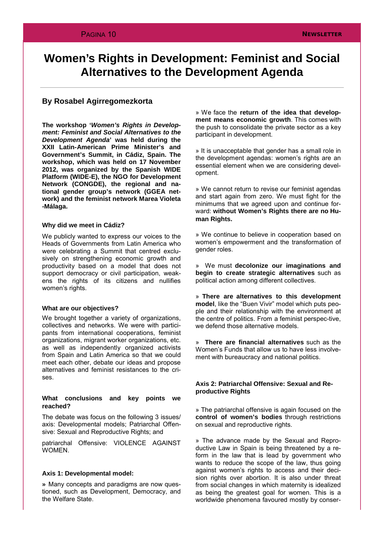## **Women's Rights in Development: Feminist and Social Alternatives to the Development Agenda**

## **By Rosabel Agirregomezkorta**

**The workshop '***Women's Rights in Development: Feminist and Social Alternatives to the Development Agenda***' was held during the XXII Latin-American Prime Minister's and Government's Summit, in Cádiz, Spain. The workshop, which was held on 17 November 2012, was organized by the Spanish WIDE Platform (WIDE-E), the NGO for Development Network (CONGDE), the regional and national gender group's network (GGEA network) and the feminist network Marea Violeta -Málaga.**

### **Why did we meet in Cádiz?**

We publicly wanted to express our voices to the Heads of Governments from Latin America who were celebrating a Summit that centred exclusively on strengthening economic growth and productivity based on a model that does not support democracy or civil participation, weakens the rights of its citizens and nullifies women's rights.

#### **What are our objectives?**

We brought together a variety of organizations, collectives and networks. We were with participants from international cooperations, feminist organizations, migrant worker organizations, etc. as well as independently organized activists from Spain and Latin America so that we could meet each other, debate our ideas and propose alternatives and feminist resistances to the crises.

### **What conclusions and key points we reached?**

The debate was focus on the following 3 issues/ axis: Developmental models; Patriarchal Offensive: Sexual and Reproductive Rights; and

patriarchal Offensive: VIOLENCE AGAINST WOMEN.

#### **Axis 1: Developmental model:**

**»** Many concepts and paradigms are now questioned, such as Development, Democracy, and the Welfare State.

» We face the **return of the idea that development means economic growth**. This comes with the push to consolidate the private sector as a key participant in development.

» It is unacceptable that gender has a small role in the development agendas: women's rights are an essential element when we are considering development.

» We cannot return to revise our feminist agendas and start again from zero. We must fight for the minimums that we agreed upon and continue forward: **without Women's Rights there are no Human Rights.** 

» We continue to believe in cooperation based on women's empowerment and the transformation of gender roles.

» We must **decolonize our imaginations and begin to create strategic alternatives** such as political action among different collectives.

» **There are alternatives to this development model**, like the "Buen Vivir" model which puts people and their relationship with the environment at the centre of politics. From a feminist perspec-tive, we defend those alternative models.

» **There are financial alternatives** such as the Women's Funds that allow us to have less involvement with bureaucracy and national politics.

## **Axis 2: Patriarchal Offensive: Sexual and Reproductive Rights**

» The patriarchal offensive is again focused on the **control of women's bodies** through restrictions on sexual and reproductive rights.

» The advance made by the Sexual and Reproductive Law in Spain is being threatened by a reform in the law that is lead by government who wants to reduce the scope of the law, thus going against women's rights to access and their decision rights over abortion. It is also under threat from social changes in which maternity is idealized as being the greatest goal for women. This is a worldwide phenomena favoured mostly by conser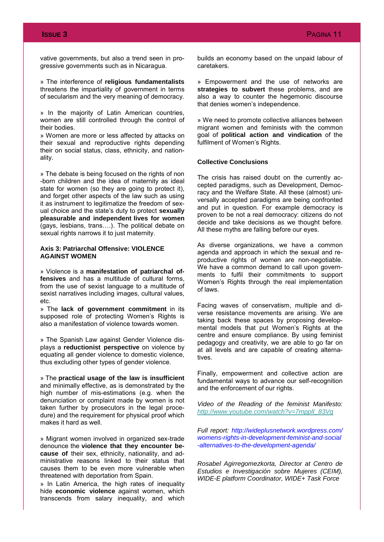vative governments, but also a trend seen in progressive governments such as in Nicaragua.

» The interference of **religious fundamentalists**  threatens the impartiality of government in terms of secularism and the very meaning of democracy.

» In the majority of Latin American countries, women are still controlled through the control of their bodies.

» Women are more or less affected by attacks on their sexual and reproductive rights depending their on social status, class, ethnicity, and nationality.

» The debate is being focused on the rights of non -born children and the idea of maternity as ideal state for women (so they are going to protect it), and forget other aspects of the law such as using it as instrument to legitimatize the freedom of sexual choice and the state's duty to protect **sexually pleasurable and independent lives for women** (gays, lesbians, trans….). The political debate on sexual rights narrows it to just maternity.

### **Axis 3: Patriarchal Offensive: VIOLENCE AGAINST WOMEN**

» Violence is a **manifestation of patriarchal offensives** and has a multitude of cultural forms, from the use of sexist language to a multitude of sexist narratives including images, cultural values, etc.

» The **lack of government commitment** in its supposed role of protecting Women's Rights is also a manifestation of violence towards women.

» The Spanish Law against Gender Violence displays a **reductionist perspective** on violence by equating all gender violence to domestic violence, thus excluding other types of gender violence.

» The **practical usage of the law is insufficient** and minimally effective, as is demonstrated by the high number of mis-estimations (e.g. when the denunciation or complaint made by women is not taken further by prosecutors in the legal procedure) and the requirement for physical proof which makes it hard as well.

» Migrant women involved in organized sex-trade denounce the **violence that they encounter because of** their sex, ethnicity, nationality, and administrative reasons linked to their status that causes them to be even more vulnerable when threatened with deportation from Spain.

» In Latin America, the high rates of inequality hide **economic violence** against women, which transcends from salary inequality, and which

builds an economy based on the unpaid labour of caretakers.

» Empowerment and the use of networks are **strategies to subvert** these problems, and are also a way to counter the hegemonic discourse that denies women's independence.

» We need to promote collective alliances between migrant women and feminists with the common goal of **political action and vindication** of the fulfilment of Women's Rights.

## **Collective Conclusions**

The crisis has raised doubt on the currently accepted paradigms, such as Development, Democracy and the Welfare State. All these (almost) universally accepted paradigms are being confronted and put in question. For example democracy is proven to be not a real democracy: citizens do not decide and take decisions as we thought before. All these myths are falling before our eyes.

As diverse organizations, we have a common agenda and approach in which the sexual and reproductive rights of women are non-negotiable. We have a common demand to call upon governments to fulfil their commitments to support Women's Rights through the real implementation of laws.

Facing waves of conservatism, multiple and diverse resistance movements are arising. We are taking back these spaces by proposing developmental models that put Women's Rights at the centre and ensure compliance. By using feminist pedagogy and creativity, we are able to go far on at all levels and are capable of creating alternatives.

Finally, empowerment and collective action are fundamental ways to advance our self-recognition and the enforcement of our rights.

*Video of the Reading of the feminist Manifesto: [http://www.youtube.com/watch?v=7mpplI\\_83Vg](http://www.youtube.com/watch?v=7mpplI_83Vg)*

*Full report: http://wideplusnetwork.wordpress.com/ womens-rights-in-development-feminist-and-social -alternatives-to-the-development-agenda/*

*Rosabel Agirregomezkorta, Director at Centro de Estudios e Investigación sobre Mujeres (CEIM), WIDE-E platform Coordinator, WIDE+ Task Force*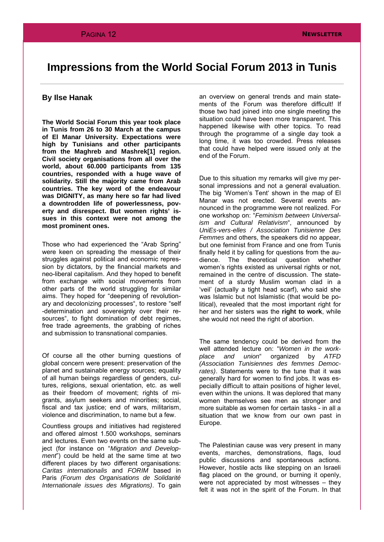## **Impressions from the World Social Forum 2013 in Tunis**

## **By Ilse Hanak**

**The World Social Forum this year took place in Tunis from 26 to 30 March at the campus of El Manar University. Expectations were high by Tunisians and other participants from the Maghreb and Mashrek[1] region. Civil society organisations from all over the world, about 60.000 participants from 135 countries, responded with a huge wave of solidarity. Still the majority came from Arab countries. The key word of the endeavour was DIGNITY, as many here so far had lived a downtrodden life of powerlessness, poverty and disrespect. But women rights' issues in this context were not among the most prominent ones.**

Those who had experienced the "Arab Spring" were keen on spreading the message of their struggles against political and economic repression by dictators, by the financial markets and neo-liberal capitalism. And they hoped to benefit from exchange with social movements from other parts of the world struggling for similar aims. They hoped for "deepening of revolutionary and decolonizing processes", to restore "self -determination and sovereignty over their resources", to fight domination of debt regimes, free trade agreements, the grabbing of riches and submission to transnational companies.

Of course all the other burning questions of global concern were present: preservation of the planet and sustainable energy sources; equality of all human beings regardless of genders, cultures, religions, sexual orientation, etc. as well as their freedom of movement; rights of migrants, asylum seekers and minorities; social, fiscal and tax justice; end of wars, militarism, violence and discrimination, to name but a few.

Countless groups and initiatives had registered and offered almost 1.500 workshops, seminars and lectures. Even two events on the same subject (for instance on "*Migration and Development*") could be held at the same time at two different places by two different organisations: *Caritas internationalis* and *FORIM* based in Paris *(Forum des Organisations de Solidarité Internationale issues des Migrations)*. To gain

an overview on general trends and main statements of the Forum was therefore difficult! If those two had joined into one single meeting the situation could have been more transparent. This happened likewise with other topics. To read through the programme of a single day took a long time, it was too crowded. Press releases that could have helped were issued only at the end of the Forum.

Due to this situation my remarks will give my personal impressions and not a general evaluation. The big 'Women's Tent' shown in the map of El Manar was not erected. Several events announced in the programme were not realized. For one workshop on: "*Feminism between Universalism and Cultural Relativism*", announced by *UniEs-vers-elles / Association Tunisienne Des Femmes* and others, the speakers did no appear, but one feminist from France and one from Tunis finally held it by calling for questions from the audience. The theoretical question whether women's rights existed as universal rights or not, remained in the centre of discussion. The statement of a sturdy Muslim woman clad in a 'veil' (actually a tight head scarf), who said she was Islamic but not Islamistic (that would be political), revealed that the most important right for her and her sisters was the **right to work**, while she would not need the right of abortion.

The same tendency could be derived from the well attended lecture on: "*Women in the workplace and union*" organized by *ATFD (Association Tunisiennes des femmes Democrates)*. Statements were to the tune that it was generally hard for women to find jobs. It was especially difficult to attain positions of higher level, even within the unions. It was deplored that many women themselves see men as stronger and more suitable as women for certain tasks - in all a situation that we know from our own past in Europe.

The Palestinian cause was very present in many events, marches, demonstrations, flags, loud public discussions and spontaneous actions. However, hostile acts like stepping on an Israeli flag placed on the ground, or burning it openly, were not appreciated by most witnesses – they felt it was not in the spirit of the Forum. In that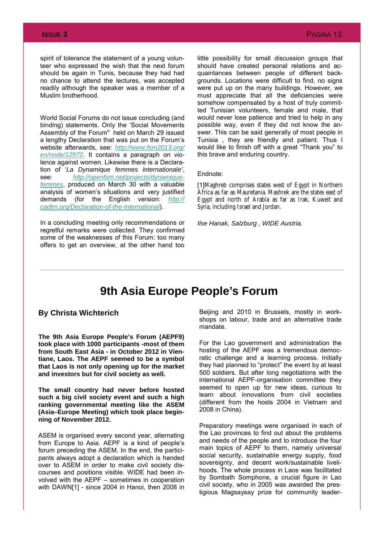spirit of tolerance the statement of a young volunteer who expressed the wish that the next forum should be again in Tunis, because they had had no chance to attend the lectures, was accepted readily although the speaker was a member of a Muslim brotherhood.

World Social Forums do not issue concluding (and binding) statements. Only the 'Social Movements Assembly of the Forum" held on March 29 issued a lengthy Declaration that was put on the Forum's website afterwards, see: *[http://www.fsm2013.org/](http://www.fsm2013.org/en/node/12972) [en/node/12972](http://www.fsm2013.org/en/node/12972)*. It contains a paragraph on violence against women. Likewise there is a Declaration of '*La Dynamique femmes internationale'*, see: *[http://openfsm.net/projects/dynamique](http://openfsm.net/projects/dynamique-femmes)[femmes](http://openfsm.net/projects/dynamique-femmes)*, produced on March 30 with a valuable analysis of women's situations and very justified demands (for the English version: http:// demands (for the English version: *[cadtm.org/Declaration-of-the-International](http://cadtm.org/Declaration-of-the-International)*).

In a concluding meeting only recommendations or regretful remarks were collected. They confirmed some of the weaknesses of this Forum: too many offers to get an overview, at the other hand too little possibility for small discussion groups that should have created personal relations and acquaintances between people of different backgrounds. Locations were difficult to find, no signs were put up on the many buildings. However, we must appreciate that all the deficiencies were somehow compensated by a host of truly committed Tunisian volunteers, female and male, that would never lose patience and tried to help in any possible way, even if they did not know the answer. This can be said generally of most people in Tunisia , they are friendly and patient. Thus I would like to finish off with a great "Thank you" to this brave and enduring country.

#### Endnote:

[1]Maghreb comprises states west of Egypt in Northern Africa as far as Mauretania. Mashrek are the states east of Egypt and north of Arabia as far as Irak, Kuweit and Syria, including Israel and Jordan.

*Ilse Hanak, Salzburg , WIDE Austria.*

## **9th Asia Europe People's Forum**

## **By Christa Wichterich**

**The 9th Asia Europe People's Forum (AEPF9) took place with 1000 participants -most of them from South East Asia - in October 2012 in Vientiane, Laos. The AEPF seemed to be a symbol that Laos is not only opening up for the market and investors but for civil society as well.** 

**The small country had never before hosted such a big civil society event and such a high ranking governmental meeting like the ASEM (Asia–Europe Meeting) which took place beginning of November 2012.** 

ASEM is organised every second year, alternating from Europe to Asia. AEPF is a kind of people's forum preceding the ASEM. In the end, the participants always adopt a declaration which is handed over to ASEM in order to make civil society discourses and positions visible. WIDE had been involved with the AEPF – sometimes in cooperation with DAWN[1] - since 2004 in Hanoi, then 2008 in Beijing and 2010 in Brussels, mostly in workshops on labour, trade and an alternative trade mandate.

For the Lao government and administration the hosting of the AEPF was a tremendous democratic challenge and a learning process. Initially they had planned to "protect" the event by at least 500 soldiers. But after long negotiations with the international AEPF-organisation committee they seemed to open up for new ideas, curious to learn about innovations from civil societies (different from the hosts 2004 in Vietnam and 2008 in China).

Preparatory meetings were organised in each of the Lao provinces to find out about the problems and needs of the people and to introduce the four main topics of AEPF to them, namely universal social security, sustainable energy supply, food sovereignty, and decent work/sustainable livelihoods. The whole process in Laos was facilitated by Sombath Somphone, a crucial figure in Lao civil society, who in 2005 was awarded the prestigious Magsaysay prize for community leader-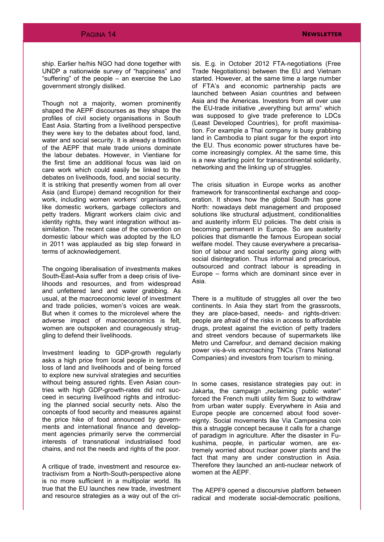ship. Earlier he/his NGO had done together with UNDP a nationwide survey of "happiness" and "suffering" of the people – an exercise the Lao government strongly disliked.

Though not a majority, women prominently shaped the AEPF discourses as they shape the profiles of civil society organisations in South East Asia. Starting from a livelihood perspective they were key to the debates about food, land, water and social security. It is already a tradition of the AEPF that male trade unions dominate the labour debates. However, in Vientiane for the first time an additional focus was laid on care work which could easily be linked to the debates on livelihoods, food, and social security. It is striking that presently women from all over Asia (and Europe) demand recognition for their work, including women workers' organisations, like domestic workers, garbage collectors and petty traders. Migrant workers claim civic and identity rights, they want integration without assimilation. The recent case of the convention on domestic labour which was adopted by the ILO in 2011 was applauded as big step forward in terms of acknowledgement.

The ongoing liberalisation of investments makes South-East-Asia suffer from a deep crisis of livelihoods and resources, and from widespread and unfettered land and water grabbing. As usual, at the macroeconomic level of investment and trade policies, women's voices are weak. But when it comes to the microlevel where the adverse impact of macroeconomics is felt, women are outspoken and courageously struggling to defend their livelihoods.

Investment leading to GDP-growth regularly asks a high price from local people in terms of loss of land and livelihoods and of being forced to explore new survival strategies and securities without being assured rights. Even Asian countries with high GDP-growth-rates did not succeed in securing livelihood rights and introducing the planned social security nets. Also the concepts of food security and measures against the price hike of food announced by governments and international finance and development agencies primarily serve the commercial interests of transnational industrialised food chains, and not the needs and rights of the poor.

A critique of trade, investment and resource extractivism from a North-South-perspective alone is no more sufficient in a multipolar world. Its true that the EU launches new trade, investment and resource strategies as a way out of the crisis. E.g. in October 2012 FTA-negotiations (Free Trade Negotiations) between the EU and Vietnam started. However, at the same time a large number of FTA's and economic partnership pacts are launched between Asian countries and between Asia and the Americas. Investors from all over use the EU-trade initiative "everything but arms" which was supposed to give trade preference to LDCs (Least Developed Countries), for profit maximisation. For example a Thai company is busy grabbing land in Cambodia to plant sugar for the export into the EU. Thus economic power structures have become increasingly complex. At the same time, this is a new starting point for transcontinental solidarity, networking and the linking up of struggles.

The crisis situation in Europe works as another framework for transcontinental exchange and cooperation. It shows how the global South has gone North: nowadays debt management and proposed solutions like structural adjustment, conditionalities and austerity inform EU policies. The debt crisis is becoming permanent in Europe. So are austerity policies that dismantle the famous European social welfare model. They cause everywhere a precarisation of labour and social security going along with social disintegration. Thus informal and precarious, outsourced and contract labour is spreading in Europe – forms which are dominant since ever in Asia.

There is a multitude of struggles all over the two continents. In Asia they start from the grassroots, they are place-based, needs- and rights-driven: people are afraid of the risks in access to affordable drugs, protest against the eviction of petty traders and street vendors because of supermarkets like Metro und Carrefour, and demand decision making power vis-à-vis encroaching TNCs (Trans National Companies) and investors from tourism to mining.

In some cases, resistance strategies pay out: in Jakarta, the campaign "reclaiming public water" forced the French multi utility firm Suez to withdraw from urban water supply. Everywhere in Asia and Europe people are concerned about food sovereignty. Social movements like Via Campesina coin this a struggle concept because it calls for a change of paradigm in agriculture. After the disaster in Fukushima, people, in particular women, are extremely worried about nuclear power plants and the fact that many are under construction in Asia. Therefore they launched an anti-nuclear network of women at the AEPF.

The AEPF9 opened a discoursive platform between radical and moderate social-democratic positions,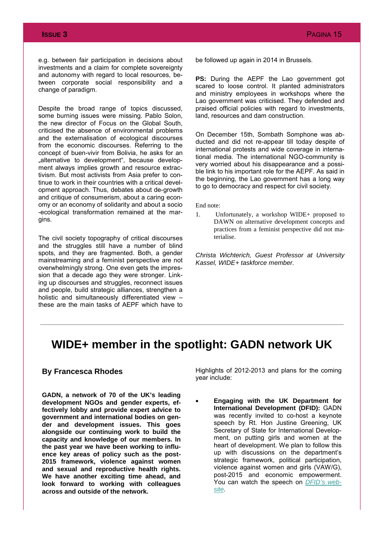e.g. between fair participation in decisions about investments and a claim for complete sovereignty and autonomy with regard to local resources, between corporate social responsibility and a change of paradigm.

Despite the broad range of topics discussed, some burning issues were missing. Pablo Solon, the new director of Focus on the Global South, criticised the absence of environmental problems and the externalisation of ecological discourses from the economic discourses. Referring to the concept of buen-vivir from Bolivia, he asks for an "alternative to development", because development always implies growth and resource extractivism. But most activists from Asia prefer to continue to work in their countries with a critical development approach. Thus, debates about de-growth and critique of consumerism, about a caring economy or an economy of solidarity and about a socio -ecological transformation remained at the margins.

The civil society topography of critical discourses and the struggles still have a number of blind spots, and they are fragmented. Both, a gender mainstreaming and a feminist perspective are not overwhelmingly strong. One even gets the impression that a decade ago they were stronger. Linking up discourses and struggles, reconnect issues and people, build strategic alliances, strengthen a holistic and simultaneously differentiated view – these are the main tasks of AEPF which have to

be followed up again in 2014 in Brussels.

**PS:** During the AEPF the Lao government got scared to loose control. It planted administrators and ministry employees in workshops where the Lao government was criticised. They defended and praised official policies with regard to investments, land, resources and dam construction.

On December 15th, Sombath Somphone was abducted and did not re-appear till today despite of international protests and wide coverage in international media. The international NGO-community is very worried about his disappearance and a possible link to his important role for the AEPF. As said in the beginning, the Lao government has a long way to go to democracy and respect for civil society.

End note:

1. Unfortunately, a workshop WIDE+ proposed to DAWN on alternative development concepts and practices from a feminist perspective did not materialise.

*Christa Wichterich, Guest Professor at University Kassel, WIDE+ taskforce member.*

## **WIDE+ member in the spotlight: GADN network UK**

## **By Francesca Rhodes**

**GADN, a network of 70 of the UK's leading development NGOs and gender experts, effectively lobby and provide expert advice to government and international bodies on gender and development issues. This goes alongside our continuing work to build the capacity and knowledge of our members. In the past year we have been working to influence key areas of policy such as the post-2015 framework, violence against women and sexual and reproductive health rights. We have another exciting time ahead, and look forward to working with colleagues across and outside of the network.** 

Highlights of 2012-2013 and plans for the coming year include:

∑ **Engaging with the UK Department for International Development (DFID):** GADN was recently invited to co-host a keynote speech by Rt. Hon Justine Greening, UK Secretary of State for International Development, on putting girls and women at the heart of development. We plan to follow this up with discussions on the department's strategic framework, political participation, violence against women and girls (VAW/G), post-2015 and economic empowerment. You can watch the speech on *[DFID's web](http://ht.ly/ijBDt)[site.](http://ht.ly/ijBDt)*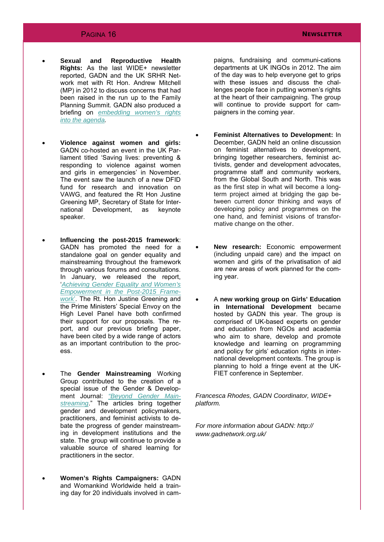- ∑ **Sexual and Reproductive Health Rights:** As the last WIDE+ newsletter reported, GADN and the UK SRHR Network met with Rt Hon. Andrew Mitchell (MP) in 2012 to discuss concerns that had been raised in the run up to the Family Planning Summit. GADN also produced a briefing on *[embedding women's rights](http://www.gadnetwork.org.uk/gadn-responses-and-briefings/)  [into the agenda.](http://www.gadnetwork.org.uk/gadn-responses-and-briefings/)*
- ∑ **Violence against women and girls:**  GADN co-hosted an event in the UK Parliament titled 'Saving lives: preventing & responding to violence against women and girls in emergencies' in November. The event saw the launch of a new DFID fund for research and innovation on VAWG, and featured the Rt Hon Justine Greening MP, Secretary of State for International Development, as keynote speaker.
- ∑ **Influencing the post-2015 framework**: GADN has promoted the need for a standalone goal on gender equality and mainstreaming throughout the framework through various forums and consultations. In January, we released the report, '*[Achieving Gender Equality and Women's](http://www.gadnetwork.org.uk/gadn-post-2015-report/)  [Empowerment in the Post-2015 Frame](http://www.gadnetwork.org.uk/gadn-post-2015-report/)[work](http://www.gadnetwork.org.uk/gadn-post-2015-report/)*'. The Rt. Hon Justine Greening and the Prime Ministers' Special Envoy on the High Level Panel have both confirmed their support for our proposals. The report, and our previous briefing paper, have been cited by a wide range of actors as an important contribution to the process.
- ∑ The **Gender Mainstreaming** Working Group contributed to the creation of a special issue of the Gender & Development Journal: *["Beyond Gender Main](http://www.tandfonline.com/toc/cgde20/20/3)[streaming](http://www.tandfonline.com/toc/cgde20/20/3)*." The articles bring together gender and development policymakers, practitioners, and feminist activists to debate the progress of gender mainstreaming in development institutions and the state. The group will continue to provide a valuable source of shared learning for practitioners in the sector.
- ∑ **Women's Rights Campaigners:** GADN and Womankind Worldwide held a training day for 20 individuals involved in cam-

paigns, fundraising and communi-cations departments at UK INGOs in 2012. The aim of the day was to help everyone get to grips with these issues and discuss the challenges people face in putting women's rights at the heart of their campaigning. The group will continue to provide support for campaigners in the coming year.

- ∑ **Feminist Alternatives to Development:** In December, GADN held an online discussion on feminist alternatives to development, bringing together researchers, feminist activists, gender and development advocates, programme staff and community workers, from the Global South and North. This was as the first step in what will become a longterm project aimed at bridging the gap between current donor thinking and ways of developing policy and programmes on the one hand, and feminist visions of transformative change on the other.
- ∑ **New research:** Economic empowerment (including unpaid care) and the impact on women and girls of the privatisation of aid are new areas of work planned for the coming year.
- ∑ A **new working group on Girls' Education in International Development** became hosted by GADN this year. The group is comprised of UK-based experts on gender and education from NGOs and academia who aim to share, develop and promote knowledge and learning on programming and policy for girls' education rights in international development contexts. The group is planning to hold a fringe event at the UK-FIET conference in September.

*Francesca Rhodes, GADN Coordinator, WIDE+ platform.*

*For more information about GADN: http:// www.gadnetwork.org.uk/*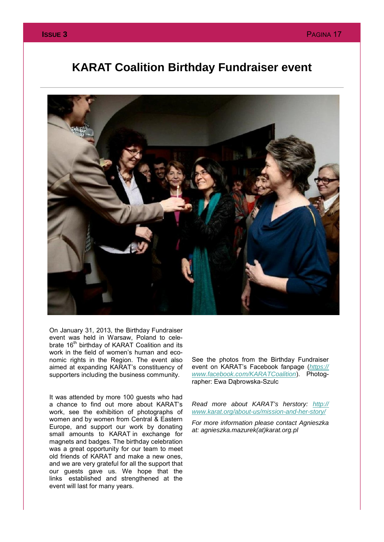## **KARAT Coalition Birthday Fundraiser event**



On January 31, 2013, the Birthday Fundraiser event was held in Warsaw, Poland to celebrate 16<sup>th</sup> birthday of KARAT Coalition and its work in the field of women's human and economic rights in the Region. The event also aimed at expanding KARAT's constituency of supporters including the business community.

It was attended by more 100 guests who had a chance to find out more about KARAT's work, see the exhibition of photographs of women and by women from Central & Eastern Europe, and support our work by donating small amounts to KARAT in exchange for magnets and badges. The birthday celebration was a great opportunity for our team to meet old friends of KARAT and make a new ones, and we are very grateful for all the support that our guests gave us. We hope that the links established and strengthened at the event will last for many years.

See the photos from the Birthday Fundraiser event on KARAT's Facebook fanpage (*[https://](https://www.facebook.com/KARATCoalition) [www.facebook.com/KARATCoalition](https://www.facebook.com/KARATCoalition)*). Photographer: Ewa Dąbrowska-Szulc

*Read more about KARAT's herstory: [http://](http://www.karat.org/about-us/mission-and-her-story/) [www.karat.org/about-us/mission-and-her-story/](http://www.karat.org/about-us/mission-and-her-story/)*

*For more information please contact Agnieszka at: agnieszka.mazurek(at)karat.org.pl*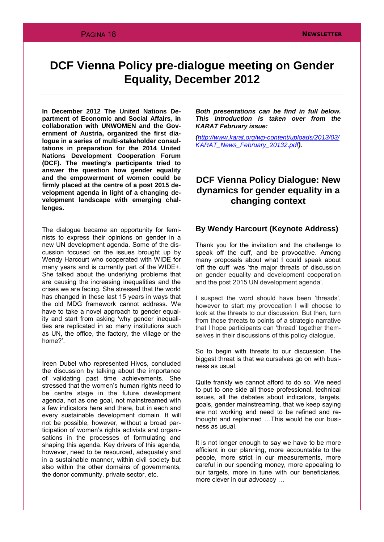## **DCF Vienna Policy pre-dialogue meeting on Gender Equality, December 2012**

**In December 2012 The United Nations Department of Economic and Social Affairs***,* **in collaboration with UNWOMEN and the Government of Austria, organized the first dialogue in a series of multi-stakeholder consultations in preparation for the 2014 United Nations Development Cooperation Forum (DCF). The meeting's participants tried to answer the question how gender equality and the empowerment of women could be firmly placed at the centre of a post 2015 development agenda in light of a changing development landscape with emerging challenges.**

The dialogue became an opportunity for feminists to express their opinions on gender in a new UN development agenda. Some of the discussion focused on the issues brought up by Wendy Harcourt who cooperated with WIDE for many years and is currently part of the WIDE+. She talked about the underlying problems that are causing the increasing inequalities and the crises we are facing. She stressed that the world has changed in these last 15 years in ways that the old MDG framework cannot address. We have to take a novel approach to gender equality and start from asking 'why gender inequalities are replicated in so many institutions such as UN, the office, the factory, the village or the home?'.

Ireen Dubel who represented Hivos, concluded the discussion by talking about the importance of validating past time achievements. She stressed that the women's human rights need to be centre stage in the future development agenda, not as one goal, not mainstreamed with a few indicators here and there, but in each and every sustainable development domain. It will not be possible, however, without a broad participation of women's rights activists and organisations in the processes of formulating and shaping this agenda. Key drivers of this agenda, however, need to be resourced, adequately and in a sustainable manner, within civil society but also within the other domains of governments, the donor community, private sector, etc.

*Both presentations can be find in full below. This introduction is taken over from the KARAT February issue:*

*(http://www.karat.org/wp-content/uploads/2013/03/ KARAT\_News\_February\_20132.pdf).*

## **DCF Vienna Policy Dialogue: New dynamics for gender equality in a changing context**

## **By Wendy Harcourt (Keynote Address)**

Thank you for the invitation and the challenge to speak off the cuff, and be provocative. Among many proposals about what I could speak about 'off the cuff' was 'the major threats of discussion on gender equality and development cooperation and the post 2015 UN development agenda'.

I suspect the word should have been 'threads', however to start my provocation I will choose to look at the threats to our discussion. But then, turn from those threats to points of a strategic narrative that I hope participants can 'thread' together themselves in their discussions of this policy dialogue.

So to begin with threats to our discussion. The biggest threat is that we ourselves go on with business as usual.

Quite frankly we cannot afford to do so. We need to put to one side all those professional, technical issues, all the debates about indicators, targets, goals, gender mainstreaming, that we keep saying are not working and need to be refined and rethought and replanned …This would be our business as usual.

It is not longer enough to say we have to be more efficient in our planning, more accountable to the people, more strict in our measurements, more careful in our spending money, more appealing to our targets, more in tune with our beneficiaries, more clever in our advocacy …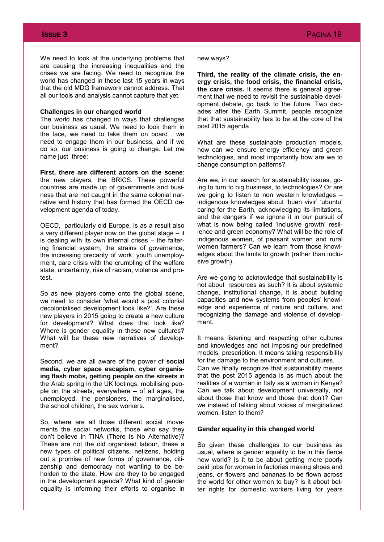We need to look at the underlying problems that are causing the increasing inequalities and the crises we are facing. We need to recognize the world has changed in these last 15 years in ways that the old MDG framework cannot address. That all our tools and analysis cannot capture that yet.

#### **Challenges in our changed world**

The world has changed in ways that challenges our business as usual. We need to look them in the face, we need to take them on board , we need to engage them in our business, and if we do so, our business is going to change. Let me name just three:

**First, there are different actors on the scene**: the new players, the BRICS. These powerful countries are made up of governments and business that are not caught in the same colonial narrative and history that has formed the OECD development agenda of today.

OECD, particularly old Europe, is as a result also a very different player now on the global stage – it is dealing with its own internal crises – the faltering financial system, the strains of governance, the increasing precarity of work, youth unemployment, care crisis with the crumbling of the welfare state, uncertainty, rise of racism, violence and protest.

So as new players come onto the global scene, we need to consider 'what would a post colonial decolonialised development look like?'. Are these new players in 2015 going to create a new culture for development? What does that look like? Where is gender equality in these new cultures? What will be these new narratives of development?

Second, we are all aware of the power of **social media, cyber space escapism, cyber organising flash mobs, getting people on the streets** in the Arab spring in the UK lootings, mobilising people on the streets, everywhere – of all ages, the unemployed, the pensioners, the marginalised, the school children, the sex workers.

So, where are all those different social movements the social networks, those who say they don't believe in TINA (There Is No Alternative)? These are not the old organised labour, these a new types of political citizens, netizens, holding out a promise of new forms of governance, citizenship and democracy not wanting to be beholden to the state. How are they to be engaged in the development agenda? What kind of gender equality is informing their efforts to organise in

#### new ways?

**Third, the reality of the climate crisis, the energy crisis, the food crisis, the financial crisis, the care crisis.** It seems there is general agreement that we need to revisit the sustainable development debate, go back to the future. Two decades after the Earth Summit, people recognize that that sustainability has to be at the core of the post 2015 agenda.

What are these sustainable production models, how can we ensure energy efficiency and green technologies, and most importantly how are we to change consumption patterns?

Are we, in our search for sustainability issues, going to turn to big business, to technologies? Or are we going to listen to non western knowledges – indigenous knowledges about 'buen vivir' 'ubuntu' caring for the Earth, acknowledging its limitations, and the dangers if we ignore it in our pursuit of what is now being called 'inclusive growth' resilience and green economy? What will be the role of indigenous women, of peasant women and rural women farmers? Can we learn from those knowledges about the limits to growth (rather than inclusive growth).

Are we going to acknowledge that sustainability is not about resources as such? It is about systemic change, institutional change, it is about building capacities and new systems from peoples' knowledge and experience of nature and culture, and recognizing the damage and violence of development.

It means listening and respecting other cultures and knowledges and not imposing our predefined models, prescription. It means taking responsibility for the damage to the environment and cultures. Can we finally recognize that sustainability means that the post 2015 agenda is as much about the realities of a woman in Italy as a woman in Kenya? Can we talk about development universally, not about those that know and those that don't? Can we instead of talking about voices of marginalized women, listen to them?

### **Gender equality in this changed world**

So given these challenges to our business as usual, where is gender equality to be in this fierce new world? Is it to be about getting more poorly paid jobs for women in factories making shoes and jeans, or flowers and bananas to be flown across the world for other women to buy? Is it about better rights for domestic workers living for years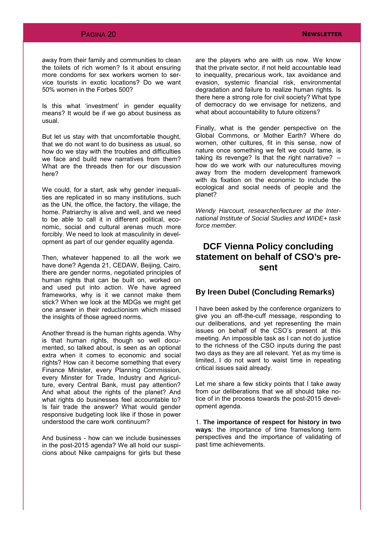## **PAGINA 20 NEWSLETTER**

away from their family and communities to clean the toilets of rich women? Is it about ensuring more condoms for sex workers women to service tourists in exotic locations? Do we want 50% women in the Forbes 500?

Is this what 'investment' in gender equality means? It would be if we go about business as usual.

But let us stay with that uncomfortable thought, that we do not want to do business as usual, so how do we stay with the troubles and difficulties we face and build new narratives from them? What are the threads then for our discussion here?

We could, for a start, ask why gender inequalities are replicated in so many institutions, such as the UN, the office, the factory, the village, the home. Patriarchy is alive and well, and we need to be able to call it in different political, economic, social and cultural arenas much more forcibly. We need to look at masculinity in development as part of our gender equality agenda.

Then, whatever happened to all the work we have done? Agenda 21, CEDAW, Beijing, Cairo, there are gender norms, negotiated principles of human rights that can be built on, worked on and used put into action. We have agreed frameworks, why is it we cannot make them stick? When we look at the MDGs we might get one answer in their reductionism which missed the insights of those agreed norms.

Another thread is the human rights agenda. Why is that human rights, though so well documented, so talked about, is seen as an optional extra when it comes to economic and social rights? How can it become something that every Finance Minister, every Planning Commission, every Minster for Trade, Industry and Agriculture, every Central Bank, must pay attention? And what about the rights of the planet? And what rights do businesses feel accountable to? Is fair trade the answer? What would gender responsive budgeting look like if those in power understood the care work continuum?

And business - how can we include businesses in the post-2015 agenda? We all hold our suspicions about Nike campaigns for girls but these

are the players who are with us now. We know that the private sector, if not held accountable lead to inequality, precarious work, tax avoidance and evasion, systemic financial risk, environmental degradation and failure to realize human rights. Is there here a strong role for civil society? What type of democracy do we envisage for netizens, and what about accountability to future citizens?

Finally, what is the gender perspective on the Global Commons, or Mother Earth? Where do women, other cultures, fit in this sense, now of nature once something we felt we could tame, is taking its revenge? Is that the right narrative? – how do we work with our naturecultures moving away from the modern development framework with its fixation on the economic to include the ecological and social needs of people and the planet?

*Wendy Harcourt, researcher/lecturer at the International Institute of Social Studies and WIDE+ task force member.*

## **DCF Vienna Policy concluding statement on behalf of CSO's present**

## **By Ireen Dubel (Concluding Remarks)**

I have been asked by the conference organizers to give you an off-the-cuff message, responding to our deliberations, and yet representing the main issues on behalf of the CSO's present at this meeting. An impossible task as I can not do justice to the richness of the CSO inputs during the past two days as they are all relevant. Yet as my time is limited, I do not want to waist time in repeating critical issues said already.

Let me share a few sticky points that I take away from our deliberations that we all should take notice of in the process towards the post-2015 development agenda.

1. **The importance of respect for history in two ways**: the importance of time frames/long term perspectives and the importance of validating of past time achievements.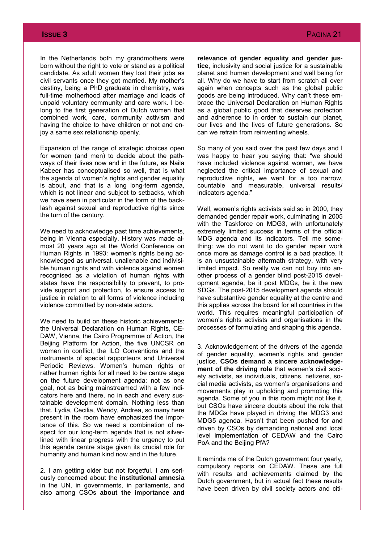In the Netherlands both my grandmothers were born without the right to vote or stand as a political candidate. As adult women they lost their jobs as civil servants once they got married. My mother's destiny, being a PhD graduate in chemistry, was full-time motherhood after marriage and loads of unpaid voluntary community and care work. I belong to the first generation of Dutch women that combined work, care, community activism and having the choice to have children or not and enjoy a same sex relationship openly.

Expansion of the range of strategic choices open for women (and men) to decide about the pathways of their lives now and in the future, as Naila Kabeer has conceptualised so well, that is what the agenda of women's rights and gender equality is about, and that is a long long-term agenda, which is not linear and subject to setbacks, which we have seen in particular in the form of the backlash against sexual and reproductive rights since the turn of the century.

We need to acknowledge past time achievements, being in Vienna especially. History was made almost 20 years ago at the World Conference on Human Rights in 1993: women's rights being acknowledged as universal, unalienable and indivisible human rights and with violence against women recognised as a violation of human rights with states have the responsibility to prevent, to provide support and protection, to ensure access to justice in relation to all forms of violence including violence committed by non-state actors.

We need to build on these historic achievements: the Universal Declaration on Human Rights, CE-DAW, Vienna, the Cairo Programme of Action, the Beijing Platform for Action, the five UNCSR on women in conflict, the ILO Conventions and the instruments of special rapporteurs and Universal Periodic Reviews. Women's human rights or rather human rights for all need to be centre stage on the future development agenda: not as one goal, not as being mainstreamed with a few indicators here and there, no in each and every sustainable development domain. Nothing less than that. Lydia, Cecilia, Wendy, Andrea, so many here present in the room have emphasized the importance of this. So we need a combination of respect for our long-term agenda that is not silverlined with linear progress with the urgency to put this agenda centre stage given its crucial role for humanity and human kind now and in the future.

2. I am getting older but not forgetful. I am seriously concerned about the **institutional amnesia** in the UN, in governments, in parliaments, and also among CSOs **about the importance and**  **relevance of gender equality and gender justice**, inclusivity and social justice for a sustainable planet and human development and well being for all. Why do we have to start from scratch all over again when concepts such as the global public goods are being introduced. Why can't these embrace the Universal Declaration on Human Rights as a global public good that deserves protection and adherence to in order to sustain our planet, our lives and the lives of future generations. So can we refrain from reinventing wheels.

So many of you said over the past few days and I was happy to hear you saying that: "we should have included violence against women, we have neglected the critical importance of sexual and reproductive rights, we went for a too narrow, countable and measurable, universal results/ indicators agenda."

Well, women's rights activists said so in 2000, they demanded gender repair work, culminating in 2005 with the Taskforce on MDG3, with unfortunately extremely limited success in terms of the official MDG agenda and its indicators. Tell me something: we do not want to do gender repair work once more as damage control is a bad practice. It is an unsustainable aftermath strategy, with very limited impact. So really we can not buy into another process of a gender blind post-2015 development agenda, be it post MDGs, be it the new SDGs. The post-2015 development agenda should have substantive gender equality at the centre and this applies across the board for all countries in the world. This requires meaningful participation of women's rights activists and organisations in the processes of formulating and shaping this agenda.

3. Acknowledgement of the drivers of the agenda of gender equality, women's rights and gender justice. **CSOs demand a sincere acknowledgement of the driving role** that women's civil society activists, as individuals, citizens, netizens, social media activists, as women's organisations and movements play in upholding and promoting this agenda. Some of you in this room might not like it, but CSOs have sincere doubts about the role that the MDGs have played in driving the MDG3 and MDG5 agenda. Hasn't that been pushed for and driven by CSOs by demanding national and local level implementation of CEDAW and the Cairo PoA and the Beijing PfA?

It reminds me of the Dutch government four yearly, compulsory reports on CEDAW. These are full with results and achievements claimed by the Dutch government, but in actual fact these results have been driven by civil society actors and citi-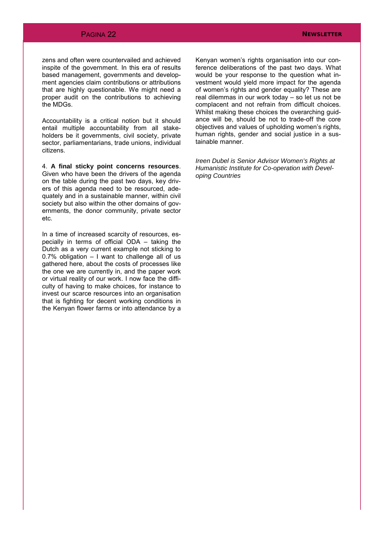## PAGINA 22 **NEWSLETTER**

zens and often were countervailed and achieved inspite of the government. In this era of results based management, governments and development agencies claim contributions or attributions that are highly questionable. We might need a proper audit on the contributions to achieving the MDGs.

Accountability is a critical notion but it should entail multiple accountability from all stakeholders be it governments, civil society, private sector, parliamentarians, trade unions, individual citizens.

4. **A final sticky point concerns resources**. Given who have been the drivers of the agenda on the table during the past two days, key drivers of this agenda need to be resourced, adequately and in a sustainable manner, within civil society but also within the other domains of governments, the donor community, private sector etc.

In a time of increased scarcity of resources, especially in terms of official ODA – taking the Dutch as a very current example not sticking to 0.7% obligation – I want to challenge all of us gathered here, about the costs of processes like the one we are currently in, and the paper work or virtual reality of our work. I now face the difficulty of having to make choices, for instance to invest our scarce resources into an organisation that is fighting for decent working conditions in the Kenyan flower farms or into attendance by a

Kenyan women's rights organisation into our conference deliberations of the past two days. What would be your response to the question what investment would yield more impact for the agenda of women's rights and gender equality? These are real dilemmas in our work today – so let us not be complacent and not refrain from difficult choices. Whilst making these choices the overarching quidance will be, should be not to trade-off the core objectives and values of upholding women's rights, human rights, gender and social justice in a sustainable manner.

*Ireen Dubel is Senior Advisor Women's Rights at Humanistic Institute for Co-operation with Developing Countries*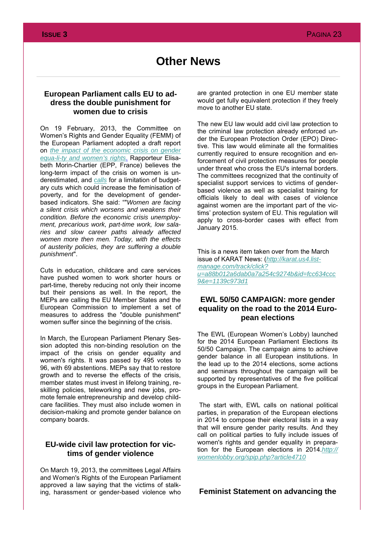## **European Parliament calls EU to address the double punishment for women due to crisis**

On 19 February, 2013, the Committee on Women's Rights and Gender Equality (FEMM) of the European Parliament adopted a draft report on *[the impact of the economic crisis on gender](http://www.europarl.europa.eu/meetdocs/2009_2014/documents/femm/pr/921/921039/921039en.pdf)  [equa-li-ty and women's rights](http://www.europarl.europa.eu/meetdocs/2009_2014/documents/femm/pr/921/921039/921039en.pdf)*. Rapporteur Elisabeth Morin-Chartier (EPP, France) believes the long-term impact of the crisis on women is underestimated, and *[calls](http://www.europarl.europa.eu/document/activities/cont/201302/20130220ATT61426/20130220ATT61426EN.pdf)* for a limitation of budgetary cuts which could increase the feminisation of poverty, and for the development of genderbased indicators. She said: ""*Women are facing a silent crisis which worsens and weakens their condition. Before the economic crisis unemployment, precarious work, part-time work, low salaries and slow career paths already affected women more then men. Today, with the effects of austerity policies, they are suffering a double punishment*".

Cuts in education, childcare and care services have pushed women to work shorter hours or part-time, thereby reducing not only their income but their pensions as well. In the report, the MEPs are calling the EU Member States and the European Commission to implement a set of measures to address the "double punishment" women suffer since the beginning of the crisis.

In March, the European Parliament Plenary Session adopted this non-binding resolution on the impact of the crisis on gender equality and women's rights. It was passed by 495 votes to 96, with 69 abstentions. MEPs say that to restore growth and to reverse the effects of the crisis, member states must invest in lifelong training, reskilling policies, teleworking and new jobs, promote female entrepreneurship and develop childcare facilities. They must also include women in decision-making and promote gender balance on company boards.

## **EU-wide civil law protection for victims of gender violence**

On March 19, 2013, the committees Legal Affairs and Women's Rights of the European Parliament approved a law saying that the victims of stalking, harassment or gender-based violence who are granted protection in one EU member state would get fully equivalent protection if they freely move to another EU state.

The new EU law would add civil law protection to the criminal law protection already enforced under the European Protection Order (EPO) Directive. This law would eliminate all the formalities currently required to ensure recognition and enforcement of civil protection measures for people under threat who cross the EU's internal borders. The committees recognized that the continuity of specialist support services to victims of genderbased violence as well as specialist training for officials likely to deal with cases of violence against women are the important part of the victims' protection system of EU. This regulation will apply to cross-border cases with effect from January 2015.

This is a news item taken over from the March issue of KARAT News: (*[http://karat.us4.list](http://karat.us4.list-manage.com/track/click?u=a88b012a6dab0a7a254c9274b&id=fcc634ccc9&e=1139c973d1)[manage.com/track/click?](http://karat.us4.list-manage.com/track/click?u=a88b012a6dab0a7a254c9274b&id=fcc634ccc9&e=1139c973d1) [u=a88b012a6dab0a7a254c9274b&id=fcc634ccc](http://karat.us4.list-manage.com/track/click?u=a88b012a6dab0a7a254c9274b&id=fcc634ccc9&e=1139c973d1) [9&e=1139c973d1](http://karat.us4.list-manage.com/track/click?u=a88b012a6dab0a7a254c9274b&id=fcc634ccc9&e=1139c973d1)*

## **EWL 50/50 CAMPAIGN: more gender equality on the road to the 2014 European elections**

The EWL (European Women's Lobby) launched for the 2014 European Parliament Elections its 50/50 Campaign. The campaign aims to achieve gender balance in all European institutions. In the lead up to the 2014 elections, some actions and seminars throughout the campaign will be supported by representatives of the five political groups in the European Parliament.

The start with, EWL calls on national political parties, in preparation of the European elections in 2014 to compose their electoral lists in a way that will ensure gender parity results. And they call on political parties to fully include issues of women's rights and gender equality in preparation for the European elections in 2014.*[http://](http://womenlobby.org/spip.php?article4710) [womenlobby.org/spip.php?article4710](http://womenlobby.org/spip.php?article4710)*

**Feminist Statement on advancing the**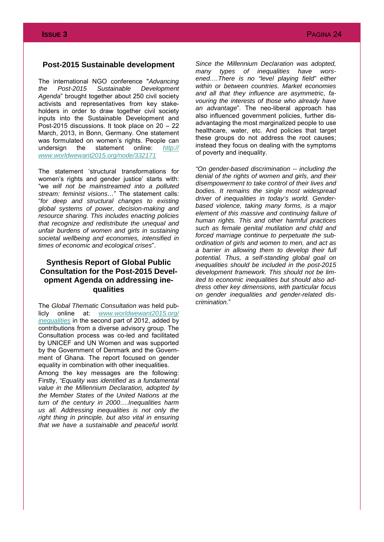## **Post-2015 Sustainable development**

The international NGO conference "*Advancing the Post-2015 Sustainable Development Agenda*" brought together about 250 civil society activists and representatives from key stakeholders in order to draw together civil society inputs into the Sustainable Development and Post-2015 discussions. It took place on 20 – 22 March, 2013, in Bonn, Germany. One statement was formulated on women's rights. People can undersign the statement online: *[http://](http://www.worldwewant2015.org/node/332171) [www.worldwewant2015.org/node/332171](http://www.worldwewant2015.org/node/332171)*

The statement 'structural transformations for women's rights and gender justice' starts with: "we *will not be mainstreamed into a polluted stream: feminist visions…*" The statement calls: "*for deep and structural changes to existing global systems of power, decision-making and resource sharing. This includes enacting policies that recognize and redistribute the unequal and unfair burdens of women and girls in sustaining societal wellbeing and economies, intensified in times of economic and ecological crises*".

## **Synthesis Report of Global Public Consultation for the Post-2015 Development Agenda on addressing inequalities**

The *Global Thematic Consultation was* held publicly online at: *[www.worldwewant2015.org/](http://www.worldwewant2015.org/inequalities) [inequalities](http://www.worldwewant2015.org/inequalities)* in the second part of 2012, added by contributions from a diverse advisory group. The Consultation process was co-led and facilitated by UNICEF and UN Women and was supported by the Government of Denmark and the Government of Ghana. The report focused on gender equality in combination with other inequalities.

Among the key messages are the following: Firstly, *"Equality was identified as a fundamental value in the Millennium Declaration, adopted by the Member States of the United Nations at the turn of the century in 2000….Inequalities harm us all. Addressing inequalities is not only the right thing in principle, but also vital in ensuring that we have a sustainable and peaceful world.* 

*Since the Millennium Declaration was adopted, many types of inequalities have worsened….There is no "level playing field" either within or between countries. Market economies and all that they influence are asymmetric, favouring the interests of those who already have an advantage*". The neo-liberal approach has also influenced government policies, further disadvantaging the most marginalized people to use healthcare, water, etc. And policies that target these groups do not address the root causes; instead they focus on dealing with the symptoms of poverty and inequality.

*"On gender-based discrimination -- including the denial of the rights of women and girls, and their disempowerment to take control of their lives and bodies. It remains the single most widespread driver of inequalities in today's world. Genderbased violence, taking many forms, is a major element of this massive and continuing failure of human rights. This and other harmful practices such as female genital mutilation and child and forced marriage continue to perpetuate the subordination of girls and women to men, and act as a barrier in allowing them to develop their full potential. Thus, a self-standing global goal on inequalities should be included in the post-2015 development framework. This should not be limited to economic inequalities but should also address other key dimensions, with particular focus on gender inequalities and gender-related discrimination*."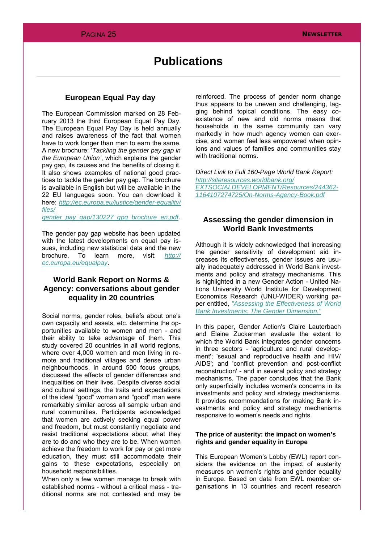## **Publications**

## **European Equal Pay day**

The European Commission marked on 28 February 2013 the third European Equal Pay Day. The European Equal Pay Day is held annually and raises awareness of the fact that women have to work longer than men to earn the same. A new brochure: '*Tackling the gender pay gap in the European Union'*, which explains the gender pay gap, its causes and the benefits of closing it. It also shows examples of national good practices to tackle the gender pay gap. The brochure is available in English but will be available in the 22 EU languages soon. You can download it here: *[http://ec.europa.eu/justice/gender-equality/](http://ec.europa.eu/justice/gender-equality/files/gender_pay_gap/130227_gpg_brochure_en.pdf) [files/](http://ec.europa.eu/justice/gender-equality/files/gender_pay_gap/130227_gpg_brochure_en.pdf)*

*[gender\\_pay\\_gap/130227\\_gpg\\_brochure\\_en.pdf](http://ec.europa.eu/justice/gender-equality/files/gender_pay_gap/130227_gpg_brochure_en.pdf)*.

The gender pay gap website has been updated with the latest developments on equal pay issues, including new statistical data and the new brochure. To learn more, visit: *[http://](http://ec.europa.eu/equalpay) [ec.europa.eu/equalpay](http://ec.europa.eu/equalpay)*.

## **World Bank Report on Norms & Agency: conversations about gender equality in 20 countries**

Social norms, gender roles, beliefs about one's own capacity and assets, etc. determine the opportunities available to women and men - and their ability to take advantage of them. This study covered 20 countries in all world regions, where over 4,000 women and men living in remote and traditional villages and dense urban neighbourhoods, in around 500 focus groups, discussed the effects of gender differences and inequalities on their lives. Despite diverse social and cultural settings, the traits and expectations of the ideal "good" woman and "good" man were remarkably similar across all sample urban and rural communities. Participants acknowledged that women are actively seeking equal power and freedom, but must constantly negotiate and resist traditional expectations about what they are to do and who they are to be. When women achieve the freedom to work for pay or get more education, they must still accommodate their gains to these expectations, especially on household responsibilities.

When only a few women manage to break with established norms - without a critical mass - traditional norms are not contested and may be

reinforced. The process of gender norm change thus appears to be uneven and challenging, lagging behind topical conditions. The easy coexistence of new and old norms means that households in the same community can vary markedly in how much agency women can exercise, and women feel less empowered when opinions and values of families and communities stay with traditional norms.

*Direct Link to Full 160-Page World Bank Report: [http://siteresources.worldbank.org/](http://siteresources.worldbank.org/EXTSOCIALDEVELOPMENT/Resources/244362-1164107274725/On-Norms-Agency-Book.pdf) [EXTSOCIALDEVELOPMENT/Resources/244362-](http://siteresources.worldbank.org/EXTSOCIALDEVELOPMENT/Resources/244362-1164107274725/On-Norms-Agency-Book.pdf) [1164107274725/On-Norms-Agency-Book.pdf](http://siteresources.worldbank.org/EXTSOCIALDEVELOPMENT/Resources/244362-1164107274725/On-Norms-Agency-Book.pdf)*

## **Assessing the gender dimension in World Bank Investments**

Although it is widely acknowledged that increasing the gender sensitivity of development aid increases its effectiveness, gender issues are usually inadequately addressed in World Bank investments and policy and strategy mechanisms. This is highlighted in a new Gender Action - United Nations University World Institute for Development Economics Research (UNU-WIDER) working paper entitled, *["Assessing the Effectiveness of World](http://www.genderaction.org/publications/assessingeffectiveness.pdf)  [Bank Investments: The Gender Dimension."](http://www.genderaction.org/publications/assessingeffectiveness.pdf)*

In this paper, Gender Action's Claire Lauterbach and Elaine Zuckerman evaluate the extent to which the World Bank integrates gender concerns in three sectors - 'agriculture and rural development'; 'sexual and reproductive health and HIV/ AIDS'; and 'conflict prevention and post-conflict reconstruction' - and in several policy and strategy mechanisms. The paper concludes that the Bank only superficially includes women's concerns in its investments and policy and strategy mechanisms. It provides recommendations for making Bank investments and policy and strategy mechanisms responsive to women's needs and rights.

## **The price of austerity: the impact on women's rights and gender equality in Europe**

This European Women's Lobby (EWL) report considers the evidence on the impact of austerity measures on women's rights and gender equality in Europe. Based on data from EWL member organisations in 13 countries and recent research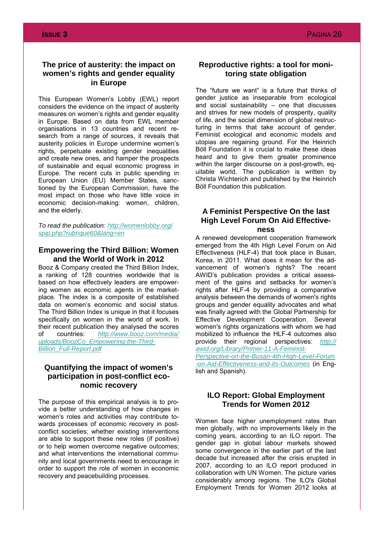## **The price of austerity: the impact on women's rights and gender equality in Europe**

This European Women's Lobby (EWL) report considers the evidence on the impact of austerity measures on women's rights and gender equality in Europe. Based on data from EWL member organisations in 13 countries and recent research from a range of sources, it reveals that austerity policies in Europe undermine women's rights, perpetuate existing gender inequalities and create new ones, and hamper the prospects of sustainable and equal economic progress in Europe. The recent cuts in public spending in European Union (EU) Member States, sanctioned by the European Commission, have the most impact on those who have little voice in economic decision-making: women, children, and the elderly.

*To read the publication: [http://womenlobby.org/](http://womenlobby.org/spip.php?rubrique60&lang=en) [spip.php?rubrique60&lang=en](http://womenlobby.org/spip.php?rubrique60&lang=en)*

## **Empowering the Third Billion: Women and the World of Work in 2012**

Booz & Company created the Third Billion Index, a ranking of 128 countries worldwide that is based on how effectively leaders are empowering women as economic agents in the marketplace. The index is a composite of established data on women's economic and social status. The Third Billion Index is unique in that it focuses specifically on women in the world of work. In their recent publication they analysed the scores of countries: *[http://www.booz.com/media/](http://www.booz.com/media/uploads/BoozCo_Empowering-the-Third-Billion_Full-Report.pdf) [uploads/BoozCo\\_Empowering-the-Third-](http://www.booz.com/media/uploads/BoozCo_Empowering-the-Third-Billion_Full-Report.pdf)[Billion\\_Full-Report.pdf](http://www.booz.com/media/uploads/BoozCo_Empowering-the-Third-Billion_Full-Report.pdf)*

## **Quantifying the impact of women's participation in post-conflict economic recovery**

The purpose of this empirical analysis is to provide a better understanding of how changes in women's roles and activities may contribute towards processes of economic recovery in postconflict societies; whether existing interventions are able to support these new roles (if positive) or to help women overcome negative outcomes; and what interventions the international community and local governments need to encourage in order to support the role of women in economic recovery and peacebuilding processes.

## **Reproductive rights: a tool for monitoring state obligation**

The "future we want" is a future that thinks of gender justice as inseparable from ecological and social sustainability – one that discusses and strives for new models of prosperity, quality of life, and the social dimension of global restructuring in terms that take account of gender. Feminist ecological and economic models and utopias are regaining ground. For the Heinrich Böll Foundation it is crucial to make these ideas heard and to give them greater prominence within the larger discourse on a post-growth, equitable world. The publication is written by Christa Wichterich and published by the Heinrich Böll Foundation this publication.

## **A Feminist Perspective On the last High Level Forum On Aid Effectiveness**

A renewed development cooperation framework emerged from the 4th High Level Forum on Aid Effectiveness (HLF-4) that took place in Busan, Korea, in 2011. What does it mean for the advancement of women's rights? The recent AWID's publication provides a critical assessment of the gains and setbacks for women's rights after HLF-4 by providing a comparative analysis between the demands of women's rights groups and gender equality advocates and what was finally agreed with the Global Partnership for Effective Development Cooperation. Several women's rights organizations with whom we had mobilized to influence the HLF-4 outcomes also provide their regional perspectives: *[http://](http://awid.org/Library/Primer-11-A-Feminist-Perspective-on-the-Busan-4th-High-Level-Forum-on-Aid-Effectiveness-and-its-Outcomes)*

*[awid.org/Library/Primer-11-A-Feminist-](http://awid.org/Library/Primer-11-A-Feminist-Perspective-on-the-Busan-4th-High-Level-Forum-on-Aid-Effectiveness-and-its-Outcomes)[Perspective-on-the-Busan-4th-High-Level-Forum](http://awid.org/Library/Primer-11-A-Feminist-Perspective-on-the-Busan-4th-High-Level-Forum-on-Aid-Effectiveness-and-its-Outcomes) [-on-Aid-Effectiveness-and-its-Outcomes](http://awid.org/Library/Primer-11-A-Feminist-Perspective-on-the-Busan-4th-High-Level-Forum-on-Aid-Effectiveness-and-its-Outcomes)* (in English and Spanish).

## **ILO Report: Global Employment Trends for Women 2012**

Women face higher unemployment rates than men globally, with no improvements likely in the coming years, according to an ILO report. The gender gap in global labour markets showed some convergence in the earlier part of the last decade but increased after the crisis erupted in 2007, according to an ILO report produced in collaboration with UN Women. The picture varies considerably among regions. The ILO's Global Employment Trends for Women 2012 looks at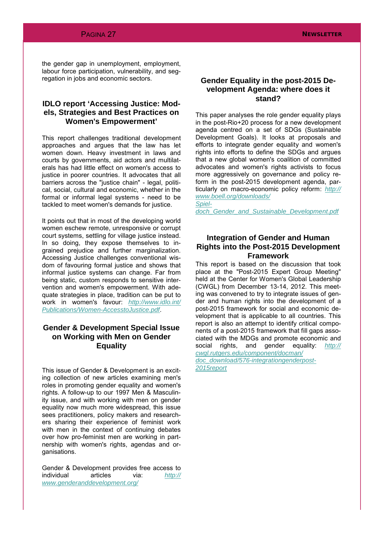the gender gap in unemployment, employment, labour force participation, vulnerability, and segregation in jobs and economic sectors.

## **IDLO report 'Accessing Justice: Models, Strategies and Best Practices on Women's Empowerment'**

This report challenges traditional development approaches and argues that the law has let women down. Heavy investment in laws and courts by governments, aid actors and multilaterals has had little effect on women's access to justice in poorer countries. It advocates that all barriers across the "justice chain" - legal, political, social, cultural and economic, whether in the formal or informal legal systems - need to be tackled to meet women's demands for justice.

It points out that in most of the developing world women eschew remote, unresponsive or corrupt court systems, settling for village justice instead. In so doing, they expose themselves to ingrained prejudice and further marginalization. Accessing Justice challenges conventional wisdom of favouring formal justice and shows that informal justice systems can change. Far from being static, custom responds to sensitive intervention and women's empowerment. With adequate strategies in place, tradition can be put to work in women's favour: *[http://www.idlo.int/](http://www.idlo.int/Publications/Women-AccesstoJustice.pdf) [Publications/Women-AccesstoJustice.pdf](http://www.idlo.int/Publications/Women-AccesstoJustice.pdf)*.

## **Gender & Development Special Issue on Working with Men on Gender Equality**

This issue of Gender & Development is an exciting collection of new articles examining men's roles in promoting gender equality and women's rights. A follow-up to our 1997 Men & Masculinity issue, and with working with men on gender equality now much more widespread, this issue sees practitioners, policy makers and researchers sharing their experience of feminist work with men in the context of continuing debates over how pro-feminist men are working in partnership with women's rights, agendas and organisations.

Gender & Development provides free access to individual articles via: *[http://](http://www.genderanddevelopment.org/) [www.genderanddevelopment.org/](http://www.genderanddevelopment.org/)*

## **Gender Equality in the post-2015 Development Agenda: where does it stand?**

This paper analyses the role gender equality plays in the post-Rio+20 process for a new development agenda centred on a set of SDGs (Sustainable Development Goals). It looks at proposals and efforts to integrate gender equality and women's rights into efforts to define the SDGs and argues that a new global women's coalition of committed advocates and women's rights activists to focus more aggressively on governance and policy reform in the post-2015 development agenda, particularly on macro-economic policy reform: *[http://](http://www.boell.org/downloads/Spieldoch_Gender_and_Sustainable_Development.pdf) [www.boell.org/downloads/](http://www.boell.org/downloads/Spieldoch_Gender_and_Sustainable_Development.pdf)*

*[Spiel](http://www.boell.org/downloads/Spieldoch_Gender_and_Sustainable_Development.pdf)[doch\\_Gender\\_and\\_Sustainable\\_Development.pdf](http://www.boell.org/downloads/Spieldoch_Gender_and_Sustainable_Development.pdf)*

## **Integration of Gender and Human Rights into the Post-2015 Development Framework**

This report is based on the discussion that took place at the "Post-2015 Expert Group Meeting" held at the Center for Women's Global Leadership (CWGL) from December 13-14, 2012. This meeting was convened to try to integrate issues of gender and human rights into the development of a post-2015 framework for social and economic development that is applicable to all countries. This report is also an attempt to identify critical components of a post-2015 framework that fill gaps associated with the MDGs and promote economic and social rights, and gender equality: *[http://](http://cwgl.rutgers.edu/component/docman/doc_download/576-integrationgenderpost-2015report)*

*[cwgl.rutgers.edu/component/docman/](http://cwgl.rutgers.edu/component/docman/doc_download/576-integrationgenderpost-2015report) [doc\\_download/576-integrationgenderpost-](http://cwgl.rutgers.edu/component/docman/doc_download/576-integrationgenderpost-2015report)*

*[2015report](http://cwgl.rutgers.edu/component/docman/doc_download/576-integrationgenderpost-2015report)*